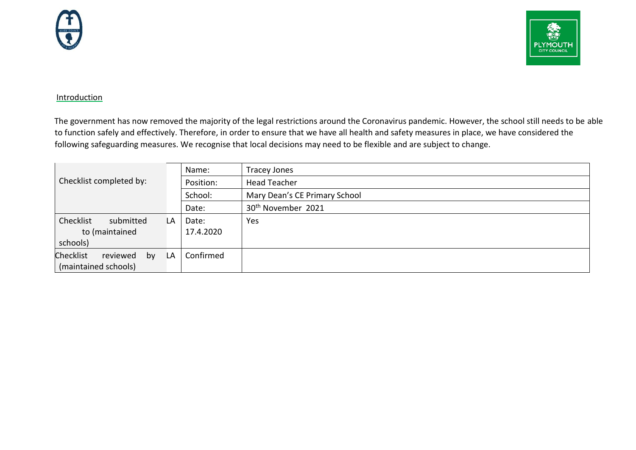



## Introduction

The government has now removed the majority of the legal restrictions around the Coronavirus pandemic. However, the school still needs to be able to function safely and effectively. Therefore, in order to ensure that we have all health and safety measures in place, we have considered the following safeguarding measures. We recognise that local decisions may need to be flexible and are subject to change.

|                                    |    | Name:     | <b>Tracey Jones</b>            |
|------------------------------------|----|-----------|--------------------------------|
| Checklist completed by:            |    | Position: | <b>Head Teacher</b>            |
|                                    |    | School:   | Mary Dean's CE Primary School  |
|                                    |    | Date:     | 30 <sup>th</sup> November 2021 |
| Checklist<br>submitted             | LA | Date:     | Yes                            |
| to (maintained                     |    | 17.4.2020 |                                |
| schools)                           |    |           |                                |
| <b>Checklist</b><br>reviewed<br>by | LA | Confirmed |                                |
| (maintained schools)               |    |           |                                |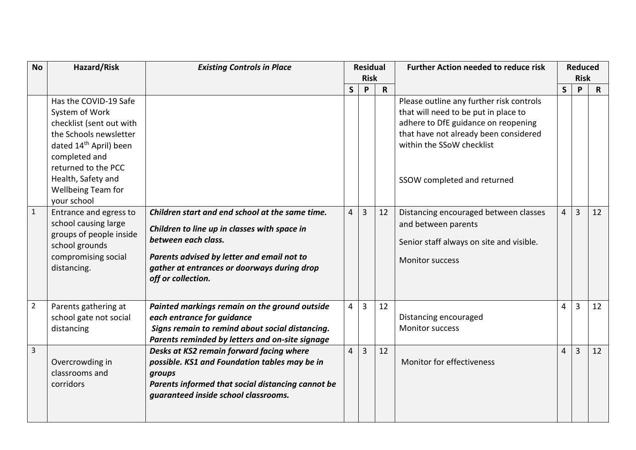| <b>No</b>      | Hazard/Risk                                                                                                                                                                                                                                   | <b>Existing Controls in Place</b>                                                                                                                                                                                                         | <b>Residual</b><br><b>Risk</b> |   |              | <b>Further Action needed to reduce risk</b>                                                                                                                                                                                  |                | <b>Reduced</b><br><b>Risk</b> |              |
|----------------|-----------------------------------------------------------------------------------------------------------------------------------------------------------------------------------------------------------------------------------------------|-------------------------------------------------------------------------------------------------------------------------------------------------------------------------------------------------------------------------------------------|--------------------------------|---|--------------|------------------------------------------------------------------------------------------------------------------------------------------------------------------------------------------------------------------------------|----------------|-------------------------------|--------------|
|                |                                                                                                                                                                                                                                               |                                                                                                                                                                                                                                           | $\mathsf{S}$                   | P | $\mathsf{R}$ |                                                                                                                                                                                                                              | $\mathsf{S}$   | P                             | $\mathsf{R}$ |
|                | Has the COVID-19 Safe<br>System of Work<br>checklist (sent out with<br>the Schools newsletter<br>dated 14 <sup>th</sup> April) been<br>completed and<br>returned to the PCC<br>Health, Safety and<br><b>Wellbeing Team for</b><br>your school |                                                                                                                                                                                                                                           |                                |   |              | Please outline any further risk controls<br>that will need to be put in place to<br>adhere to DfE guidance on reopening<br>that have not already been considered<br>within the SSoW checklist<br>SSOW completed and returned |                |                               |              |
| $\mathbf 1$    | Entrance and egress to<br>school causing large<br>groups of people inside<br>school grounds<br>compromising social<br>distancing.                                                                                                             | Children start and end school at the same time.<br>Children to line up in classes with space in<br>between each class.<br>Parents advised by letter and email not to<br>gather at entrances or doorways during drop<br>off or collection. | 4                              | 3 | 12           | Distancing encouraged between classes<br>and between parents<br>Senior staff always on site and visible.<br><b>Monitor success</b>                                                                                           | $\overline{4}$ | 3                             | 12           |
| $\overline{2}$ | Parents gathering at<br>school gate not social<br>distancing                                                                                                                                                                                  | Painted markings remain on the ground outside<br>each entrance for guidance<br>Signs remain to remind about social distancing.<br>Parents reminded by letters and on-site signage                                                         | 4                              | 3 | 12           | Distancing encouraged<br><b>Monitor success</b>                                                                                                                                                                              | $\overline{4}$ | 3                             | 12           |
| $\overline{3}$ | Overcrowding in<br>classrooms and<br>corridors                                                                                                                                                                                                | Desks at KS2 remain forward facing where<br>possible. KS1 and Foundation tables may be in<br>groups<br>Parents informed that social distancing cannot be<br>guaranteed inside school classrooms.                                          | 4                              | 3 | 12           | Monitor for effectiveness                                                                                                                                                                                                    | 4              | $\overline{3}$                | 12           |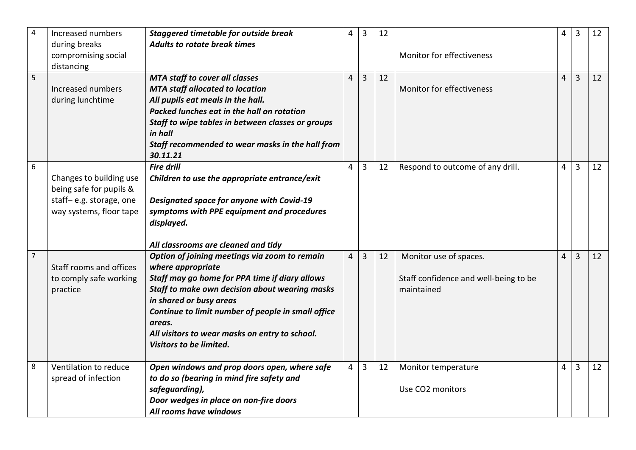| $\overline{4}$ | Increased numbers                                                                                        | <b>Staggered timetable for outside break</b>                                                                                                                                                                                                                                                                                                                                          | 4        | 3              | 12 |                                                                               | $\overline{4}$ | $\overline{3}$ | 12 |
|----------------|----------------------------------------------------------------------------------------------------------|---------------------------------------------------------------------------------------------------------------------------------------------------------------------------------------------------------------------------------------------------------------------------------------------------------------------------------------------------------------------------------------|----------|----------------|----|-------------------------------------------------------------------------------|----------------|----------------|----|
|                | during breaks<br>compromising social                                                                     | <b>Adults to rotate break times</b>                                                                                                                                                                                                                                                                                                                                                   |          |                |    | Monitor for effectiveness                                                     |                |                |    |
|                | distancing                                                                                               |                                                                                                                                                                                                                                                                                                                                                                                       |          |                |    |                                                                               |                |                |    |
| 5              | Increased numbers<br>during lunchtime                                                                    | <b>MTA staff to cover all classes</b><br><b>MTA staff allocated to location</b><br>All pupils eat meals in the hall.<br>Packed lunches eat in the hall on rotation<br>Staff to wipe tables in between classes or groups<br>in hall<br>Staff recommended to wear masks in the hall from                                                                                                | $\Delta$ | $\overline{3}$ | 12 | Monitor for effectiveness                                                     |                | $\overline{3}$ | 12 |
| 6              | Changes to building use<br>being safe for pupils &<br>staff-e.g. storage, one<br>way systems, floor tape | 30.11.21<br><b>Fire drill</b><br>Children to use the appropriate entrance/exit<br>Designated space for anyone with Covid-19<br>symptoms with PPE equipment and procedures<br>displayed.                                                                                                                                                                                               | 4        | $\overline{3}$ | 12 | Respond to outcome of any drill.                                              |                | 3              | 12 |
| $\overline{7}$ | Staff rooms and offices<br>to comply safe working<br>practice                                            | All classrooms are cleaned and tidy<br>Option of joining meetings via zoom to remain<br>where appropriate<br>Staff may go home for PPA time if diary allows<br>Staff to make own decision about wearing masks<br>in shared or busy areas<br>Continue to limit number of people in small office<br>areas.<br>All visitors to wear masks on entry to school.<br>Visitors to be limited. | 4        | $\overline{3}$ | 12 | Monitor use of spaces.<br>Staff confidence and well-being to be<br>maintained | $\overline{4}$ | $\overline{3}$ | 12 |
| 8              | Ventilation to reduce<br>spread of infection                                                             | Open windows and prop doors open, where safe<br>to do so (bearing in mind fire safety and<br>safeguarding),<br>Door wedges in place on non-fire doors<br>All rooms have windows                                                                                                                                                                                                       | 4        | $\overline{3}$ | 12 | Monitor temperature<br>Use CO2 monitors                                       | 4              | 3              | 12 |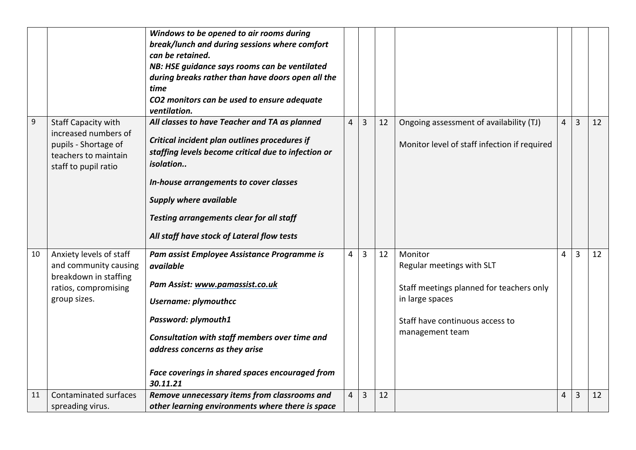|                  |                                                                                                                            | Windows to be opened to air rooms during<br>break/lunch and during sessions where comfort<br>can be retained.<br>NB: HSE guidance says rooms can be ventilated<br>during breaks rather than have doors open all the<br>time<br>CO2 monitors can be used to ensure adequate<br>ventilation.                                              |   |   |    |                                                                                                                                                           |   |                |    |
|------------------|----------------------------------------------------------------------------------------------------------------------------|-----------------------------------------------------------------------------------------------------------------------------------------------------------------------------------------------------------------------------------------------------------------------------------------------------------------------------------------|---|---|----|-----------------------------------------------------------------------------------------------------------------------------------------------------------|---|----------------|----|
| $\boldsymbol{9}$ | <b>Staff Capacity with</b><br>increased numbers of<br>pupils - Shortage of<br>teachers to maintain<br>staff to pupil ratio | All classes to have Teacher and TA as planned<br>Critical incident plan outlines procedures if<br>staffing levels become critical due to infection or<br>isolation<br>In-house arrangements to cover classes<br><b>Supply where available</b><br>Testing arrangements clear for all staff<br>All staff have stock of Lateral flow tests | 4 | 3 | 12 | Ongoing assessment of availability (TJ)<br>Monitor level of staff infection if required                                                                   | 4 | 3              | 12 |
| 10               | Anxiety levels of staff<br>and community causing<br>breakdown in staffing<br>ratios, compromising<br>group sizes.          | Pam assist Employee Assistance Programme is<br>available<br>Pam Assist: www.pamassist.co.uk<br><b>Username: plymouthcc</b><br>Password: plymouth1<br>Consultation with staff members over time and<br>address concerns as they arise<br>Face coverings in shared spaces encouraged from<br>30.11.21                                     | 4 | 3 | 12 | Monitor<br>Regular meetings with SLT<br>Staff meetings planned for teachers only<br>in large spaces<br>Staff have continuous access to<br>management team | 4 | $\overline{3}$ | 12 |
| 11               | Contaminated surfaces<br>spreading virus.                                                                                  | Remove unnecessary items from classrooms and<br>other learning environments where there is space                                                                                                                                                                                                                                        | 4 | 3 | 12 |                                                                                                                                                           | 4 | 3              | 12 |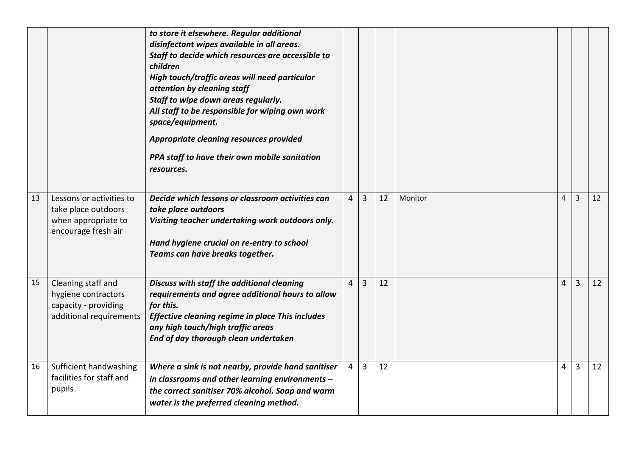|    |                                                                                               | to store it elsewhere. Regular additional<br>disinfectant wipes available in all areas.<br>Staff to decide which resources are accessible to<br>children<br>High touch/traffic areas will need particular<br>attention by cleaning staff<br>Staff to wipe down areas regularly.<br>All staff to be responsible for wiping own work<br>space/equipment.<br>Appropriate cleaning resources provided<br>PPA staff to have their own mobile sanitation<br>resources. |   |   |    |         |                |                |    |
|----|-----------------------------------------------------------------------------------------------|------------------------------------------------------------------------------------------------------------------------------------------------------------------------------------------------------------------------------------------------------------------------------------------------------------------------------------------------------------------------------------------------------------------------------------------------------------------|---|---|----|---------|----------------|----------------|----|
| 13 | Lessons or activities to<br>take place outdoors<br>when appropriate to<br>encourage fresh air | Decide which lessons or classroom activities can<br>take place outdoors<br>Visiting teacher undertaking work outdoors only.<br>Hand hygiene crucial on re-entry to school<br>Teams can have breaks together.                                                                                                                                                                                                                                                     | 4 | 3 | 12 | Monitor | $\overline{4}$ | 3              | 12 |
| 15 | Cleaning staff and<br>hygiene contractors<br>capacity - providing<br>additional requirements  | Discuss with staff the additional cleaning<br>requirements and agree additional hours to allow<br>for this.<br>Effective cleaning regime in place This includes<br>any high touch/high traffic areas<br>End of day thorough clean undertaken                                                                                                                                                                                                                     | 4 | 3 | 12 |         | 4              | $\overline{3}$ | 12 |
| 16 | Sufficient handwashing<br>facilities for staff and<br>pupils                                  | Where a sink is not nearby, provide hand sanitiser<br>in classrooms and other learning environments -<br>the correct sanitiser 70% alcohol. Soap and warm<br>water is the preferred cleaning method.                                                                                                                                                                                                                                                             | 4 | 3 | 12 |         | $\overline{4}$ | $\overline{3}$ | 12 |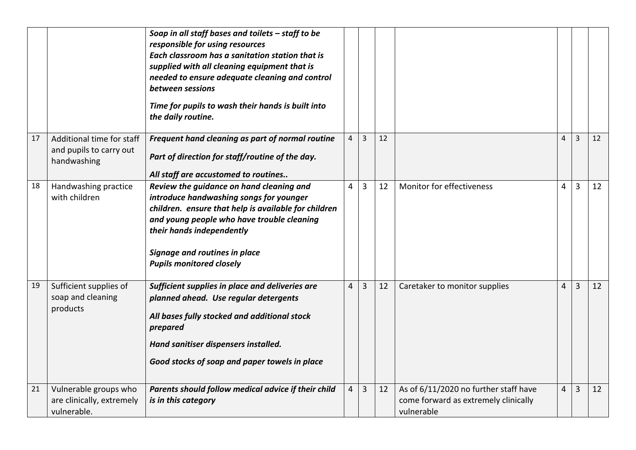|    |                                                                     | Soap in all staff bases and toilets - staff to be<br>responsible for using resources<br>Each classroom has a sanitation station that is<br>supplied with all cleaning equipment that is<br>needed to ensure adequate cleaning and control<br>between sessions<br>Time for pupils to wash their hands is built into<br>the daily routine. |                |                |    |                                                                                             |                |   |    |
|----|---------------------------------------------------------------------|------------------------------------------------------------------------------------------------------------------------------------------------------------------------------------------------------------------------------------------------------------------------------------------------------------------------------------------|----------------|----------------|----|---------------------------------------------------------------------------------------------|----------------|---|----|
| 17 | Additional time for staff<br>and pupils to carry out<br>handwashing | Frequent hand cleaning as part of normal routine<br>Part of direction for staff/routine of the day.<br>All staff are accustomed to routines                                                                                                                                                                                              |                | 3              | 12 |                                                                                             | 4              | 3 | 12 |
| 18 | Handwashing practice<br>with children                               | Review the guidance on hand cleaning and<br>introduce handwashing songs for younger<br>children. ensure that help is available for children<br>and young people who have trouble cleaning<br>their hands independently<br>Signage and routines in place<br><b>Pupils monitored closely</b>                                               | 4              | $\overline{3}$ | 12 | Monitor for effectiveness                                                                   | 4              | 3 | 12 |
| 19 | Sufficient supplies of<br>soap and cleaning<br>products             | Sufficient supplies in place and deliveries are<br>planned ahead. Use regular detergents<br>All bases fully stocked and additional stock<br>prepared<br>Hand sanitiser dispensers installed.<br>Good stocks of soap and paper towels in place                                                                                            | $\overline{4}$ | 3              | 12 | Caretaker to monitor supplies                                                               | $\overline{4}$ | 3 | 12 |
| 21 | Vulnerable groups who<br>are clinically, extremely<br>vulnerable.   | Parents should follow medical advice if their child<br>is in this category                                                                                                                                                                                                                                                               | 4              | 3              | 12 | As of 6/11/2020 no further staff have<br>come forward as extremely clinically<br>vulnerable | $\overline{4}$ | 3 | 12 |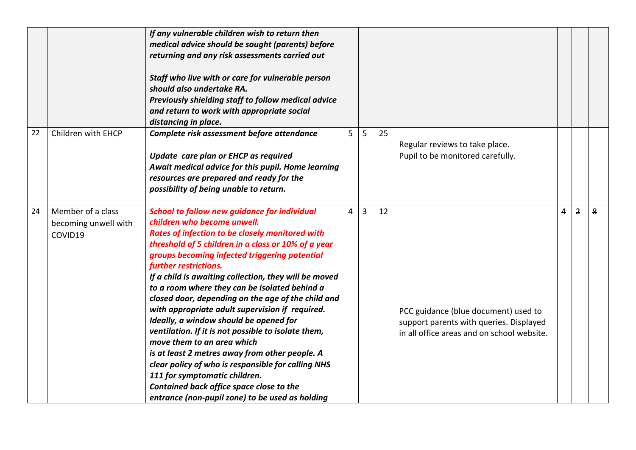|    |                                                      | If any vulnerable children wish to return then<br>medical advice should be sought (parents) before<br>returning and any risk assessments carried out<br>Staff who live with or care for vulnerable person<br>should also undertake RA.                                                                                                                                                                                                                                                                                                                                                                                                                                                                                                                                                                                                                           |   |                |    |                                                                                                                               |   |                |   |
|----|------------------------------------------------------|------------------------------------------------------------------------------------------------------------------------------------------------------------------------------------------------------------------------------------------------------------------------------------------------------------------------------------------------------------------------------------------------------------------------------------------------------------------------------------------------------------------------------------------------------------------------------------------------------------------------------------------------------------------------------------------------------------------------------------------------------------------------------------------------------------------------------------------------------------------|---|----------------|----|-------------------------------------------------------------------------------------------------------------------------------|---|----------------|---|
|    |                                                      | Previously shielding staff to follow medical advice<br>and return to work with appropriate social<br>distancing in place.                                                                                                                                                                                                                                                                                                                                                                                                                                                                                                                                                                                                                                                                                                                                        |   |                |    |                                                                                                                               |   |                |   |
| 22 | Children with EHCP                                   | Complete risk assessment before attendance<br>Update care plan or EHCP as required<br>Await medical advice for this pupil. Home learning<br>resources are prepared and ready for the<br>possibility of being unable to return.                                                                                                                                                                                                                                                                                                                                                                                                                                                                                                                                                                                                                                   | 5 | 5              | 25 | Regular reviews to take place.<br>Pupil to be monitored carefully.                                                            |   |                |   |
| 24 | Member of a class<br>becoming unwell with<br>COVID19 | <b>School to follow new guidance for individual</b><br>children who become unwell.<br>Rates of infection to be closely monitored with<br>threshold of 5 children in a class or 10% of a year<br>groups becoming infected triggering potential<br>further restrictions.<br>If a child is awaiting collection, they will be moved<br>to a room where they can be isolated behind a<br>closed door, depending on the age of the child and<br>with appropriate adult supervision if required.<br>Ideally, a window should be opened for<br>ventilation. If it is not possible to isolate them,<br>move them to an area which<br>is at least 2 metres away from other people. A<br>clear policy of who is responsible for calling NHS<br>111 for symptomatic children.<br>Contained back office space close to the<br>entrance (non-pupil zone) to be used as holding | 4 | $\overline{3}$ | 12 | PCC guidance (blue document) used to<br>support parents with queries. Displayed<br>in all office areas and on school website. | 4 | $\overline{2}$ | 8 |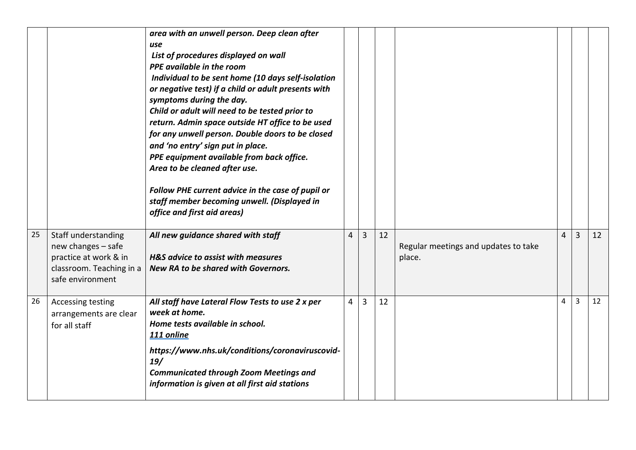|    |                                                                                                                    | area with an unwell person. Deep clean after<br>use<br>List of procedures displayed on wall<br>PPE available in the room<br>Individual to be sent home (10 days self-isolation<br>or negative test) if a child or adult presents with<br>symptoms during the day.<br>Child or adult will need to be tested prior to<br>return. Admin space outside HT office to be used<br>for any unwell person. Double doors to be closed<br>and 'no entry' sign put in place.<br>PPE equipment available from back office.<br>Area to be cleaned after use.<br>Follow PHE current advice in the case of pupil or<br>staff member becoming unwell. (Displayed in<br>office and first aid areas) |                |   |    |                                                |   |                |    |
|----|--------------------------------------------------------------------------------------------------------------------|-----------------------------------------------------------------------------------------------------------------------------------------------------------------------------------------------------------------------------------------------------------------------------------------------------------------------------------------------------------------------------------------------------------------------------------------------------------------------------------------------------------------------------------------------------------------------------------------------------------------------------------------------------------------------------------|----------------|---|----|------------------------------------------------|---|----------------|----|
| 25 | Staff understanding<br>new changes - safe<br>practice at work & in<br>classroom. Teaching in a<br>safe environment | All new guidance shared with staff<br>H&S advice to assist with measures<br>New RA to be shared with Governors.                                                                                                                                                                                                                                                                                                                                                                                                                                                                                                                                                                   | 4              | 3 | 12 | Regular meetings and updates to take<br>place. | 4 | $\overline{3}$ | 12 |
| 26 | Accessing testing<br>arrangements are clear<br>for all staff                                                       | All staff have Lateral Flow Tests to use 2 x per<br>week at home.<br>Home tests available in school.<br>111 online<br>https://www.nhs.uk/conditions/coronaviruscovid-<br>19/<br><b>Communicated through Zoom Meetings and</b><br>information is given at all first aid stations                                                                                                                                                                                                                                                                                                                                                                                                   | $\overline{4}$ | 3 | 12 |                                                | 4 | 3              | 12 |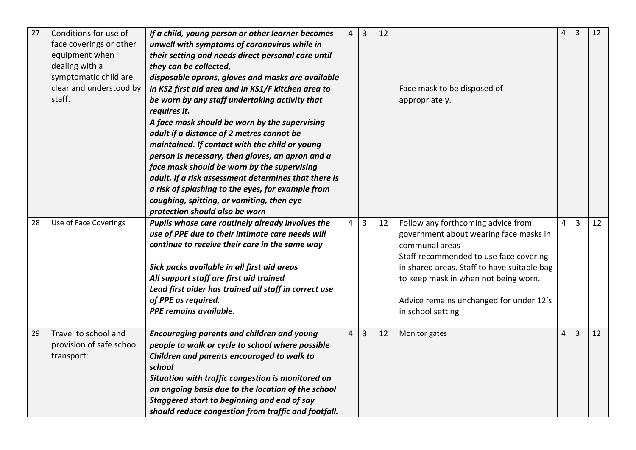| 27 | Conditions for use of<br>face coverings or other | If a child, young person or other learner becomes<br>unwell with symptoms of coronavirus while in | 4 | 3 | 12 |                                             | 4              | $\overline{3}$ | 12 |
|----|--------------------------------------------------|---------------------------------------------------------------------------------------------------|---|---|----|---------------------------------------------|----------------|----------------|----|
|    | equipment when                                   | their setting and needs direct personal care until                                                |   |   |    |                                             |                |                |    |
|    | dealing with a                                   | they can be collected,                                                                            |   |   |    |                                             |                |                |    |
|    | symptomatic child are                            | disposable aprons, gloves and masks are available                                                 |   |   |    |                                             |                |                |    |
|    | clear and understood by                          | in KS2 first aid area and in KS1/F kitchen area to                                                |   |   |    | Face mask to be disposed of                 |                |                |    |
|    | staff.                                           | be worn by any staff undertaking activity that                                                    |   |   |    | appropriately.                              |                |                |    |
|    |                                                  | requires it.                                                                                      |   |   |    |                                             |                |                |    |
|    |                                                  | A face mask should be worn by the supervising                                                     |   |   |    |                                             |                |                |    |
|    |                                                  | adult if a distance of 2 metres cannot be                                                         |   |   |    |                                             |                |                |    |
|    |                                                  | maintained. If contact with the child or young                                                    |   |   |    |                                             |                |                |    |
|    |                                                  | person is necessary, then gloves, an apron and a                                                  |   |   |    |                                             |                |                |    |
|    |                                                  | face mask should be worn by the supervising                                                       |   |   |    |                                             |                |                |    |
|    |                                                  | adult. If a risk assessment determines that there is                                              |   |   |    |                                             |                |                |    |
|    |                                                  | a risk of splashing to the eyes, for example from                                                 |   |   |    |                                             |                |                |    |
|    |                                                  | coughing, spitting, or vomiting, then eye                                                         |   |   |    |                                             |                |                |    |
|    |                                                  | protection should also be worn                                                                    |   |   |    |                                             |                |                |    |
| 28 | Use of Face Coverings                            | Pupils whose care routinely already involves the                                                  | 4 | 3 | 12 | Follow any forthcoming advice from          | $\overline{4}$ | $\overline{3}$ | 12 |
|    |                                                  | use of PPE due to their intimate care needs will                                                  |   |   |    | government about wearing face masks in      |                |                |    |
|    |                                                  | continue to receive their care in the same way                                                    |   |   |    | communal areas                              |                |                |    |
|    |                                                  |                                                                                                   |   |   |    | Staff recommended to use face covering      |                |                |    |
|    |                                                  | Sick packs available in all first aid areas                                                       |   |   |    | in shared areas. Staff to have suitable bag |                |                |    |
|    |                                                  | All support staff are first aid trained                                                           |   |   |    | to keep mask in when not being worn.        |                |                |    |
|    |                                                  | Lead first aider has trained all staff in correct use                                             |   |   |    |                                             |                |                |    |
|    |                                                  | of PPE as required.                                                                               |   |   |    | Advice remains unchanged for under 12's     |                |                |    |
|    |                                                  | PPE remains available.                                                                            |   |   |    | in school setting                           |                |                |    |
| 29 |                                                  |                                                                                                   |   |   |    |                                             |                | $\overline{3}$ | 12 |
|    | Travel to school and                             | <b>Encouraging parents and children and young</b>                                                 | 4 | 3 | 12 | Monitor gates                               | $\overline{4}$ |                |    |
|    | provision of safe school                         | people to walk or cycle to school where possible                                                  |   |   |    |                                             |                |                |    |
|    | transport:                                       | Children and parents encouraged to walk to<br>school                                              |   |   |    |                                             |                |                |    |
|    |                                                  | Situation with traffic congestion is monitored on                                                 |   |   |    |                                             |                |                |    |
|    |                                                  | an ongoing basis due to the location of the school                                                |   |   |    |                                             |                |                |    |
|    |                                                  | Staggered start to beginning and end of say                                                       |   |   |    |                                             |                |                |    |
|    |                                                  | should reduce congestion from traffic and footfall.                                               |   |   |    |                                             |                |                |    |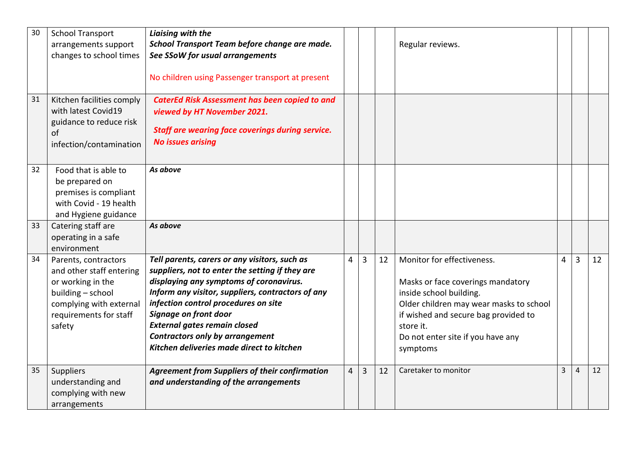| 30<br>31 | <b>School Transport</b><br>arrangements support<br>changes to school times<br>Kitchen facilities comply<br>with latest Covid19<br>guidance to reduce risk | Liaising with the<br>School Transport Team before change are made.<br>See SSoW for usual arrangements<br>No children using Passenger transport at present<br><b>CaterEd Risk Assessment has been copied to and</b><br>viewed by HT November 2021.<br><b>Staff are wearing face coverings during service.</b>                                                                                    |   |   |    | Regular reviews.                                                                                                                                                                                                                            |                |                |    |
|----------|-----------------------------------------------------------------------------------------------------------------------------------------------------------|-------------------------------------------------------------------------------------------------------------------------------------------------------------------------------------------------------------------------------------------------------------------------------------------------------------------------------------------------------------------------------------------------|---|---|----|---------------------------------------------------------------------------------------------------------------------------------------------------------------------------------------------------------------------------------------------|----------------|----------------|----|
|          | of<br>infection/contamination                                                                                                                             | <b>No issues arising</b>                                                                                                                                                                                                                                                                                                                                                                        |   |   |    |                                                                                                                                                                                                                                             |                |                |    |
| 32       | Food that is able to<br>be prepared on<br>premises is compliant<br>with Covid - 19 health<br>and Hygiene guidance                                         | As above                                                                                                                                                                                                                                                                                                                                                                                        |   |   |    |                                                                                                                                                                                                                                             |                |                |    |
| 33       | Catering staff are<br>operating in a safe<br>environment                                                                                                  | As above                                                                                                                                                                                                                                                                                                                                                                                        |   |   |    |                                                                                                                                                                                                                                             |                |                |    |
| 34       | Parents, contractors<br>and other staff entering<br>or working in the<br>building - school<br>complying with external<br>requirements for staff<br>safety | Tell parents, carers or any visitors, such as<br>suppliers, not to enter the setting if they are<br>displaying any symptoms of coronavirus.<br>Inform any visitor, suppliers, contractors of any<br>infection control procedures on site<br>Signage on front door<br><b>External gates remain closed</b><br><b>Contractors only by arrangement</b><br>Kitchen deliveries made direct to kitchen | 4 | 3 | 12 | Monitor for effectiveness.<br>Masks or face coverings mandatory<br>inside school building.<br>Older children may wear masks to school<br>if wished and secure bag provided to<br>store it.<br>Do not enter site if you have any<br>symptoms | $\overline{4}$ | $\overline{3}$ | 12 |
| 35       | Suppliers<br>understanding and<br>complying with new<br>arrangements                                                                                      | <b>Agreement from Suppliers of their confirmation</b><br>and understanding of the arrangements                                                                                                                                                                                                                                                                                                  | 4 | 3 | 12 | Caretaker to monitor                                                                                                                                                                                                                        | 3              | $\overline{4}$ | 12 |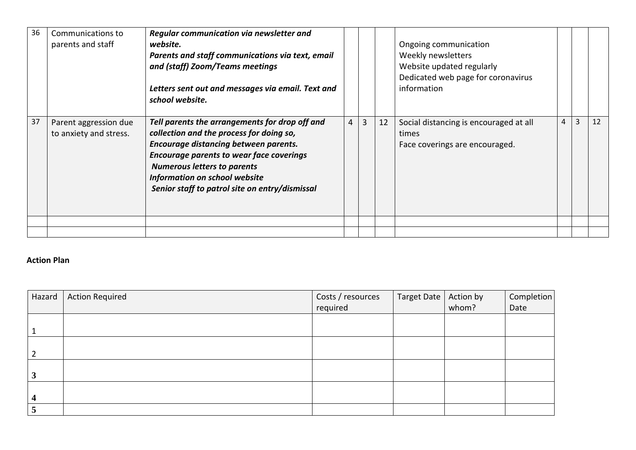| 36 | Communications to<br>parents and staff          | Regular communication via newsletter and<br>website.<br>Parents and staff communications via text, email<br>and (staff) Zoom/Teams meetings<br>Letters sent out and messages via email. Text and<br>school website.                                                                                                    |   |   |    | Ongoing communication<br>Weekly newsletters<br>Website updated regularly<br>Dedicated web page for coronavirus<br>information |                |   |    |
|----|-------------------------------------------------|------------------------------------------------------------------------------------------------------------------------------------------------------------------------------------------------------------------------------------------------------------------------------------------------------------------------|---|---|----|-------------------------------------------------------------------------------------------------------------------------------|----------------|---|----|
| 37 | Parent aggression due<br>to anxiety and stress. | Tell parents the arrangements for drop off and<br>collection and the process for doing so,<br>Encourage distancing between parents.<br><b>Encourage parents to wear face coverings</b><br><b>Numerous letters to parents</b><br><b>Information on school website</b><br>Senior staff to patrol site on entry/dismissal | 4 | 3 | 12 | Social distancing is encouraged at all<br>times<br>Face coverings are encouraged.                                             | $\overline{4}$ | 3 | 12 |
|    |                                                 |                                                                                                                                                                                                                                                                                                                        |   |   |    |                                                                                                                               |                |   |    |
|    |                                                 |                                                                                                                                                                                                                                                                                                                        |   |   |    |                                                                                                                               |                |   |    |

## **Action Plan**

| Hazard                  | <b>Action Required</b> | Costs / resources | Target Date   Action by |       | Completion |
|-------------------------|------------------------|-------------------|-------------------------|-------|------------|
|                         |                        | required          |                         | whom? | Date       |
|                         |                        |                   |                         |       |            |
| $\mathbf{1}$            |                        |                   |                         |       |            |
|                         |                        |                   |                         |       |            |
| $\overline{2}$          |                        |                   |                         |       |            |
|                         |                        |                   |                         |       |            |
| $\overline{\mathbf{3}}$ |                        |                   |                         |       |            |
|                         |                        |                   |                         |       |            |
| $\overline{\mathbf{4}}$ |                        |                   |                         |       |            |
| 5                       |                        |                   |                         |       |            |